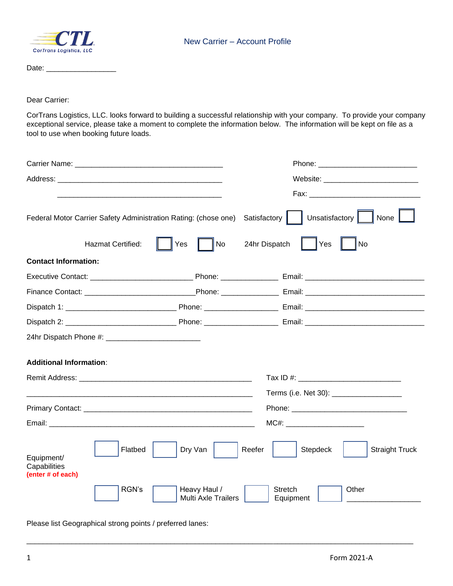

Date: \_\_\_\_\_\_\_\_\_\_\_\_\_\_\_\_\_

Dear Carrier:

CorTrans Logistics, LLC. looks forward to building a successful relationship with your company. To provide your company exceptional service, please take a moment to complete the information below. The information will be kept on file as a tool to use when booking future loads.

|                                                 | Federal Motor Carrier Safety Administration Rating: (chose one) | Unsatisfactory $\ $<br>Satisfactory<br>None |  |
|-------------------------------------------------|-----------------------------------------------------------------|---------------------------------------------|--|
| Hazmat Certified:                               | Yes<br>No                                                       | 24hr Dispatch<br>Yes<br>No                  |  |
| <b>Contact Information:</b>                     |                                                                 |                                             |  |
|                                                 |                                                                 |                                             |  |
|                                                 |                                                                 |                                             |  |
|                                                 |                                                                 |                                             |  |
|                                                 |                                                                 |                                             |  |
|                                                 |                                                                 |                                             |  |
| <b>Additional Information:</b>                  |                                                                 |                                             |  |
|                                                 |                                                                 |                                             |  |
|                                                 |                                                                 | Terms (i.e. Net 30): _____________________  |  |
|                                                 |                                                                 |                                             |  |
|                                                 |                                                                 | MC#: _______________________                |  |
| Equipment/<br>Capabilities<br>(enter # of each) | Flatbed<br>Dry Van                                              | Stepdeck<br><b>Straight Truck</b><br>Reefer |  |
|                                                 | RGN's<br>Heavy Haul /<br><b>Multi Axle Trailers</b>             | Stretch<br>Other<br>Equipment               |  |

\_\_\_\_\_\_\_\_\_\_\_\_\_\_\_\_\_\_\_\_\_\_\_\_\_\_\_\_\_\_\_\_\_\_\_\_\_\_\_\_\_\_\_\_\_\_\_\_\_\_\_\_\_\_\_\_\_\_\_\_\_\_\_\_\_\_\_\_\_\_\_\_\_\_\_\_\_\_\_\_\_\_\_\_\_\_\_\_\_\_\_\_\_\_

Please list Geographical strong points / preferred lanes: